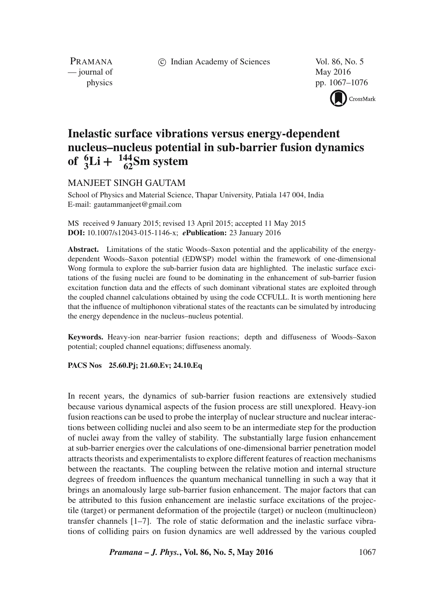c Indian Academy of Sciences Vol. 86, No. 5

PRAMANA — journal of May 2016

physics pp. 1067–1076

CrossMark

# **Inelastic surface vibrations versus energy-dependent nucleus–nucleus potential in sub-barrier fusion dynamics of**  ${}_{3}^{6}$ **Li** +  ${}_{62}^{144}$ **Sm** system

## MANJEET SINGH GAUTAM

School of Physics and Material Science, Thapar University, Patiala 147 004, India E-mail: gautammanjeet@gmail.com

MS received 9 January 2015; revised 13 April 2015; accepted 11 May 2015 **DOI:** 10.1007/s12043-015-1146-x; *e***Publication:** 23 January 2016

**Abstract.** Limitations of the static Woods–Saxon potential and the applicability of the energydependent Woods–Saxon potential (EDWSP) model within the framework of one-dimensional Wong formula to explore the sub-barrier fusion data are highlighted. The inelastic surface excitations of the fusing nuclei are found to be dominating in the enhancement of sub-barrier fusion excitation function data and the effects of such dominant vibrational states are exploited through the coupled channel calculations obtained by using the code CCFULL. It is worth mentioning here that the influence of multiphonon vibrational states of the reactants can be simulated by introducing the energy dependence in the nucleus–nucleus potential.

**Keywords.** Heavy-ion near-barrier fusion reactions; depth and diffuseness of Woods–Saxon potential; coupled channel equations; diffuseness anomaly.

#### **PACS Nos 25.60.Pj; 21.60.Ev; 24.10.Eq**

In recent years, the dynamics of sub-barrier fusion reactions are extensively studied because various dynamical aspects of the fusion process are still unexplored. Heavy-ion fusion reactions can be used to probe the interplay of nuclear structure and nuclear interactions between colliding nuclei and also seem to be an intermediate step for the production of nuclei away from the valley of stability. The substantially large fusion enhancement at sub-barrier energies over the calculations of one-dimensional barrier penetration model attracts theorists and experimentalists to explore different features of reaction mechanisms between the reactants. The coupling between the relative motion and internal structure degrees of freedom influences the quantum mechanical tunnelling in such a way that it brings an anomalously large sub-barrier fusion enhancement. The major factors that can be attributed to this fusion enhancement are inelastic surface excitations of the projectile (target) or permanent deformation of the projectile (target) or nucleon (multinucleon) transfer channels [1–7]. The role of static deformation and the inelastic surface vibrations of colliding pairs on fusion dynamics are well addressed by the various coupled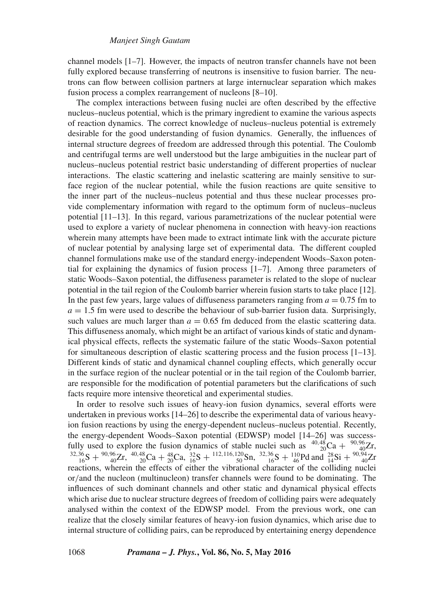channel models [1–7]. However, the impacts of neutron transfer channels have not been fully explored because transferring of neutrons is insensitive to fusion barrier. The neutrons can flow between collision partners at large internuclear separation which makes fusion process a complex rearrangement of nucleons [8–10].

The complex interactions between fusing nuclei are often described by the effective nucleus–nucleus potential, which is the primary ingredient to examine the various aspects of reaction dynamics. The correct knowledge of nucleus–nucleus potential is extremely desirable for the good understanding of fusion dynamics. Generally, the influences of internal structure degrees of freedom are addressed through this potential. The Coulomb and centrifugal terms are well understood but the large ambiguities in the nuclear part of nucleus–nucleus potential restrict basic understanding of different properties of nuclear interactions. The elastic scattering and inelastic scattering are mainly sensitive to surface region of the nuclear potential, while the fusion reactions are quite sensitive to the inner part of the nucleus–nucleus potential and thus these nuclear processes provide complementary information with regard to the optimum form of nucleus–nucleus potential [11–13]. In this regard, various parametrizations of the nuclear potential were used to explore a variety of nuclear phenomena in connection with heavy-ion reactions wherein many attempts have been made to extract intimate link with the accurate picture of nuclear potential by analysing large set of experimental data. The different coupled channel formulations make use of the standard energy-independent Woods–Saxon potential for explaining the dynamics of fusion process [1–7]. Among three parameters of static Woods–Saxon potential, the diffuseness parameter is related to the slope of nuclear potential in the tail region of the Coulomb barrier wherein fusion starts to take place [12]. In the past few years, large values of diffuseness parameters ranging from  $a = 0.75$  fm to  $a = 1.5$  fm were used to describe the behaviour of sub-barrier fusion data. Surprisingly, such values are much larger than  $a = 0.65$  fm deduced from the elastic scattering data. This diffuseness anomaly, which might be an artifact of various kinds of static and dynamical physical effects, reflects the systematic failure of the static Woods–Saxon potential for simultaneous description of elastic scattering process and the fusion process [1–13]. Different kinds of static and dynamical channel coupling effects, which generally occur in the surface region of the nuclear potential or in the tail region of the Coulomb barrier, are responsible for the modification of potential parameters but the clarifications of such facts require more intensive theoretical and experimental studies.

In order to resolve such issues of heavy-ion fusion dynamics, several efforts were undertaken in previous works [14–26] to describe the experimental data of various heavyion fusion reactions by using the energy-dependent nucleus–nucleus potential. Recently, the energy-dependent Woods–Saxon potential (EDWSP) model [14–26] was successfully used to explore the fusion dynamics of stable nuclei such as  $^{40,48}_{20}Ca + ^{90,96}_{40}Zr$ ,<br> $^{32,36}_{16}S + ^{90,96}_{40}Zr$ ,  $^{40,48}_{40}Ca + ^{48}_{20}Ca$ ,  $^{32}_{16}S + ^{112,116,120}_{50}Sn$ ,  $^{32,36}_{16}S + ^{110}_{46}Pd$  and  $^{28}_{14}Si +$ reactions, wherein the effects of either the vibrational character of the colliding nuclei or/and the nucleon (multinucleon) transfer channels were found to be dominating. The influences of such dominant channels and other static and dynamical physical effects which arise due to nuclear structure degrees of freedom of colliding pairs were adequately analysed within the context of the EDWSP model. From the previous work, one can realize that the closely similar features of heavy-ion fusion dynamics, which arise due to internal structure of colliding pairs, can be reproduced by entertaining energy dependence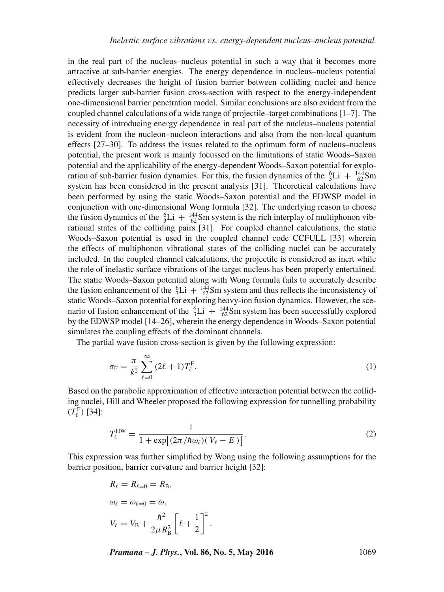in the real part of the nucleus–nucleus potential in such a way that it becomes more attractive at sub-barrier energies. The energy dependence in nucleus–nucleus potential effectively decreases the height of fusion barrier between colliding nuclei and hence predicts larger sub-barrier fusion cross-section with respect to the energy-independent one-dimensional barrier penetration model. Similar conclusions are also evident from the coupled channel calculations of a wide range of projectile–target combinations  $[1-7]$ . The necessity of introducing energy dependence in real part of the nucleus–nucleus potential is evident from the nucleon–nucleon interactions and also from the non-local quantum effects [27–30]. To address the issues related to the optimum form of nucleus–nucleus potential, the present work is mainly focussed on the limitations of static Woods–Saxon potential and the applicability of the energy-dependent Woods–Saxon potential for exploration of sub-barrier fusion dynamics. For this, the fusion dynamics of the  ${}^{6}_{3}\text{Li} + {}^{144}_{62}\text{Sm}$ system has been considered in the present analysis [31]. Theoretical calculations have been performed by using the static Woods–Saxon potential and the EDWSP model in conjunction with one-dimensional Wong formula [32]. The underlying reason to choose the fusion dynamics of the  ${}^{6}_{3}\text{Li} + {}^{144}_{62}\text{Sm}$  system is the rich interplay of multiphonon vibrational states of the colliding pairs [31]. For coupled channel calculations, the static Woods–Saxon potential is used in the coupled channel code CCFULL [33] wherein the effects of multiphonon vibrational states of the colliding nuclei can be accurately included. In the coupled channel calcalutions, the projectile is considered as inert while the role of inelastic surface vibrations of the target nucleus has been properly entertained. The static Woods–Saxon potential along with Wong formula fails to accurately describe the fusion enhancement of the  ${}^{6}_{3}\text{Li} + {}^{144}_{62}\text{Sm}$  system and thus reflects the inconsistency of static Woods–Saxon potential for exploring heavy-ion fusion dynamics. However, the scenario of fusion enhancement of the  ${}^{6}_{3}\text{Li} + {}^{144}_{62}\text{Sm}$  system has been successfully explored by the EDWSP model [14–26], wherein the energy dependence in Woods–Saxon potential simulates the coupling effects of the dominant channels.

The partial wave fusion cross-section is given by the following expression:

$$
\sigma_{\mathcal{F}} = \frac{\pi}{k^2} \sum_{\ell=0}^{\infty} (2\ell+1) T_{\ell}^{\mathcal{F}}.
$$
 (1)

Based on the parabolic approximation of effective interaction potential between the colliding nuclei, Hill and Wheeler proposed the following expression for tunnelling probability  $(T_{\ell}^{\rm F})$  [34]:

$$
T_{\ell}^{\text{HW}} = \frac{1}{1 + \exp[(2\pi/\hbar\omega_{\ell})(V_{\ell} - E)]}.
$$
 (2)

This expression was further simplified by Wong using the following assumptions for the barrier position, barrier curvature and barrier height [32]:

$$
R_{\ell} = R_{\ell=0} = R_{\text{B}},
$$
  
\n
$$
\omega_{\ell} = \omega_{\ell=0} = \omega,
$$
  
\n
$$
V_{\ell} = V_{\text{B}} + \frac{\hbar^2}{2\mu R_{\text{B}}^2} \left[ \ell + \frac{1}{2} \right]^2.
$$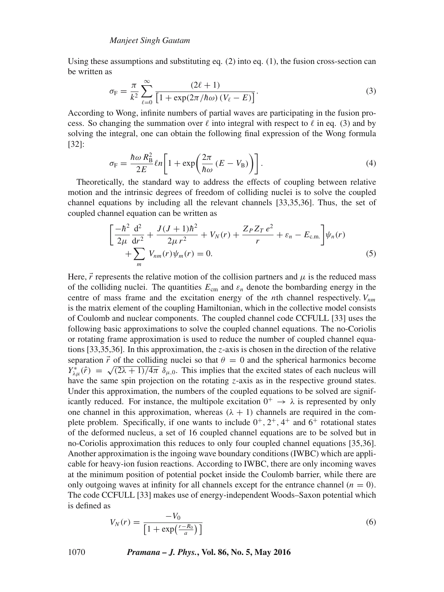Using these assumptions and substituting eq.  $(2)$  into eq.  $(1)$ , the fusion cross-section can be written as

$$
\sigma_{\rm F} = \frac{\pi}{k^2} \sum_{\ell=0}^{\infty} \frac{(2\ell+1)}{\left[1 + \exp(2\pi/\hbar\omega) \left(V_{\ell} - E\right)\right]}.
$$
\n(3)

According to Wong, infinite numbers of partial waves are participating in the fusion process. So changing the summation over  $\ell$  into integral with respect to  $\ell$  in eq. (3) and by solving the integral, one can obtain the following final expression of the Wong formula [32]:

$$
\sigma_{\rm F} = \frac{\hbar \omega R_{\rm B}^2}{2E} \ln \left[ 1 + \exp \left( \frac{2\pi}{\hbar \omega} \left( E - V_{\rm B} \right) \right) \right]. \tag{4}
$$

Theoretically, the standard way to address the effects of coupling between relative motion and the intrinsic degrees of freedom of colliding nuclei is to solve the coupled channel equations by including all the relevant channels [33,35,36]. Thus, the set of coupled channel equation can be written as

$$
\left[\frac{-\hbar^2}{2\mu}\frac{\mathrm{d}^2}{\mathrm{d}r^2} + \frac{J(J+1)\hbar^2}{2\mu r^2} + V_N(r) + \frac{Z_P Z_T e^2}{r} + \varepsilon_n - E_{\text{c.m.}}\right] \psi_n(r) + \sum_m V_{nm}(r)\psi_m(r) = 0.
$$
\n(5)

Here,  $\vec{r}$  represents the relative motion of the collision partners and  $\mu$  is the reduced mass of the colliding nuclei. The quantities  $E_{cm}$  and  $\varepsilon_n$  denote the bombarding energy in the centre of mass frame and the excitation energy of the *n*th channel respectively.  $V_{nm}$ is the matrix element of the coupling Hamiltonian, which in the collective model consists of Coulomb and nuclear components. The coupled channel code CCFULL [33] uses the following basic approximations to solve the coupled channel equations. The no-Coriolis or rotating frame approximation is used to reduce the number of coupled channel equations [33,35,36]. In this approximation, the *z*-axis is chosen in the direction of the relative separation  $\vec{r}$  of the colliding nuclei so that  $\theta = 0$  and the spherical harmonics become  $Y_{\lambda\mu}^*(\hat{r}) = \sqrt{(2\lambda + 1)/4\pi} \, \delta_{\mu,0}$ . This implies that the excited states of each nucleus will have the same spin projection on the rotating z-axis as in the respective ground states. Under this approximation, the numbers of the coupled equations to be solved are significantly reduced. For instance, the multipole excitation  $0^+ \rightarrow \lambda$  is represented by only one channel in this approximation, whereas  $(\lambda + 1)$  channels are required in the complete problem. Specifically, if one wants to include  $0^+, 2^+, 4^+$  and  $6^+$  rotational states of the deformed nucleus, a set of 16 coupled channel equations are to be solved but in no-Coriolis approximation this reduces to only four coupled channel equations [35,36]. Another approximation is the ingoing wave boundary conditions (IWBC) which are applicable for heavy-ion fusion reactions. According to IWBC, there are only incoming waves at the minimum position of potential pocket inside the Coulomb barrier, while there are only outgoing waves at infinity for all channels except for the entrance channel  $(n = 0)$ . The code CCFULL [33] makes use of energy-independent Woods–Saxon potential which is defined as

$$
V_N(r) = \frac{-V_0}{\left[1 + \exp\left(\frac{r - R_0}{a}\right)\right]}
$$
(6)

1070 *Pramana – J. Phys.***, Vol. 86, No. 5, May 2016**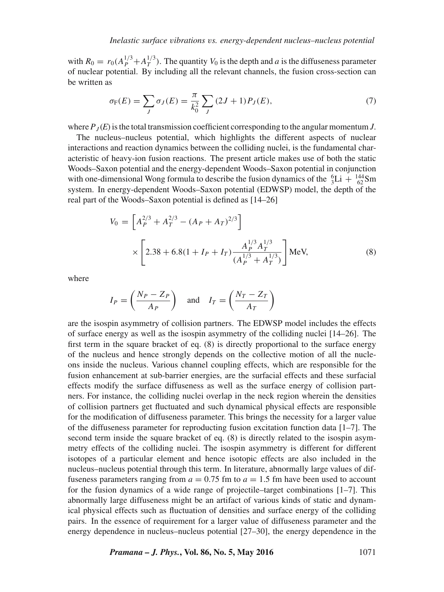with  $R_0 = r_0(A_P^{1/3} + A_T^{1/3})$ . The quantity  $V_0$  is the depth and a is the diffuseness parameter of nuclear potential. By including all the relevant channels, the fusion cross-section can be written as

$$
\sigma_{\mathcal{F}}(E) = \sum_{J} \sigma_{J}(E) = \frac{\pi}{k_0^2} \sum_{J} (2J+1) P_{J}(E), \tag{7}
$$

where  $P_J(E)$  is the total transmission coefficient corresponding to the angular momentum *J*.

The nucleus–nucleus potential, which highlights the different aspects of nuclear interactions and reaction dynamics between the colliding nuclei, is the fundamental characteristic of heavy-ion fusion reactions. The present article makes use of both the static Woods–Saxon potential and the energy-dependent Woods–Saxon potential in conjunction with one-dimensional Wong formula to describe the fusion dynamics of the  ${}^{6}_{3}\text{Li} + {}^{144}_{62}\text{Sm}$ system. In energy-dependent Woods–Saxon potential (EDWSP) model, the depth of the real part of the Woods–Saxon potential is defined as [14–26]

$$
V_0 = \left[A_P^{2/3} + A_T^{2/3} - (A_P + A_T)^{2/3}\right]
$$
  
 
$$
\times \left[2.38 + 6.8(1 + I_P + I_T)\frac{A_P^{1/3}A_T^{1/3}}{(A_P^{1/3} + A_T^{1/3})}\right] \text{MeV}, \tag{8}
$$

where

$$
I_P = \left(\frac{N_P - Z_P}{A_P}\right) \quad \text{and} \quad I_T = \left(\frac{N_T - Z_T}{A_T}\right)
$$

are the isospin asymmetry of collision partners. The EDWSP model includes the effects of surface energy as well as the isospin asymmetry of the colliding nuclei [14–26]. The first term in the square bracket of eq. (8) is directly proportional to the surface energy of the nucleus and hence strongly depends on the collective motion of all the nucleons inside the nucleus. Various channel coupling effects, which are responsible for the fusion enhancement at sub-barrier energies, are the surfacial effects and these surfacial effects modify the surface diffuseness as well as the surface energy of collision partners. For instance, the colliding nuclei overlap in the neck region wherein the densities of collision partners get fluctuated and such dynamical physical effects are responsible for the modification of diffuseness parameter. This brings the necessity for a larger value of the diffuseness parameter for reproducting fusion excitation function data  $[1-7]$ . The second term inside the square bracket of eq. (8) is directly related to the isospin asymmetry effects of the colliding nuclei. The isospin asymmetry is different for different isotopes of a particular element and hence isotopic effects are also included in the nucleus–nucleus potential through this term. In literature, abnormally large values of diffuseness parameters ranging from  $a = 0.75$  fm to  $a = 1.5$  fm have been used to account for the fusion dynamics of a wide range of projectile–target combinations [1–7]. This abnormally large diffuseness might be an artifact of various kinds of static and dynamical physical effects such as fluctuation of densities and surface energy of the colliding pairs. In the essence of requirement for a larger value of diffuseness parameter and the energy dependence in nucleus–nucleus potential [27–30], the energy dependence in the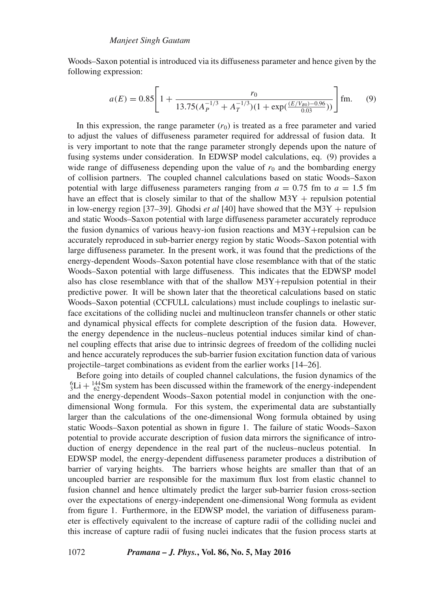Woods–Saxon potential is introduced via its diffuseness parameter and hence given by the following expression:

$$
a(E) = 0.85 \left[ 1 + \frac{r_0}{13.75(A_P^{-1/3} + A_T^{-1/3})(1 + \exp(\frac{(E/V_{B0}) - 0.96}{0.03}))} \right] \text{fm.}
$$
 (9)

In this expression, the range parameter  $(r_0)$  is treated as a free parameter and varied to adjust the values of diffuseness parameter required for addressal of fusion data. It is very important to note that the range parameter strongly depends upon the nature of fusing systems under consideration. In EDWSP model calculations, eq. (9) provides a wide range of diffuseness depending upon the value of  $r_0$  and the bombarding energy of collision partners. The coupled channel calculations based on static Woods–Saxon potential with large diffuseness parameters ranging from  $a = 0.75$  fm to  $a = 1.5$  fm have an effect that is closely similar to that of the shallow  $M3Y$  + repulsion potential in low-energy region [37–39]. Ghodsi *et al* [40] have showed that the M3Y + repulsion and static Woods–Saxon potential with large diffuseness parameter accurately reproduce the fusion dynamics of various heavy-ion fusion reactions and M3Y+repulsion can be accurately reproduced in sub-barrier energy region by static Woods–Saxon potential with large diffuseness parameter. In the present work, it was found that the predictions of the energy-dependent Woods–Saxon potential have close resemblance with that of the static Woods–Saxon potential with large diffuseness. This indicates that the EDWSP model also has close resemblance with that of the shallow M3Y+repulsion potential in their predictive power. It will be shown later that the theoretical calculations based on static Woods–Saxon potential (CCFULL calculations) must include couplings to inelastic surface excitations of the colliding nuclei and multinucleon transfer channels or other static and dynamical physical effects for complete description of the fusion data. However, the energy dependence in the nucleus–nucleus potential induces similar kind of channel coupling effects that arise due to intrinsic degrees of freedom of the colliding nuclei and hence accurately reproduces the sub-barrier fusion excitation function data of various projectile–target combinations as evident from the earlier works [14–26].

Before going into details of coupled channel calculations, the fusion dynamics of the  ${}^{6}_{3}\text{Li} + {}^{144}_{62}\text{Sm}$  system has been discussed within the framework of the energy-independent and the energy-dependent Woods–Saxon potential model in conjunction with the onedimensional Wong formula. For this system, the experimental data are substantially larger than the calculations of the one-dimensional Wong formula obtained by using static Woods–Saxon potential as shown in figure 1. The failure of static Woods–Saxon potential to provide accurate description of fusion data mirrors the significance of introduction of energy dependence in the real part of the nucleus–nucleus potential. In EDWSP model, the energy-dependent diffuseness parameter produces a distribution of barrier of varying heights. The barriers whose heights are smaller than that of an uncoupled barrier are responsible for the maximum flux lost from elastic channel to fusion channel and hence ultimately predict the larger sub-barrier fusion cross-section over the expectations of energy-independent one-dimensional Wong formula as evident from figure 1. Furthermore, in the EDWSP model, the variation of diffuseness parameter is effectively equivalent to the increase of capture radii of the colliding nuclei and this increase of capture radii of fusing nuclei indicates that the fusion process starts at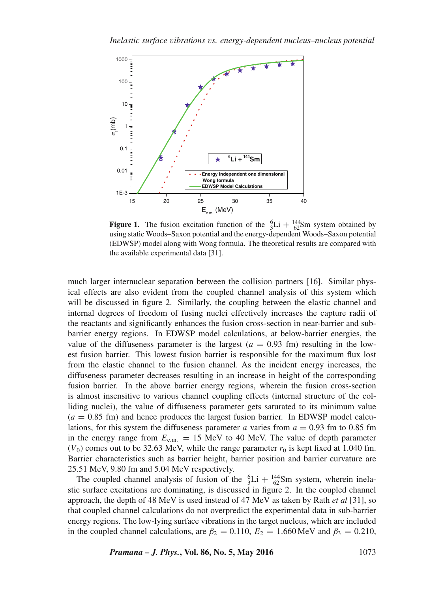

**Figure 1.** The fusion excitation function of the  ${}^{6}_{3}\text{Li} + {}^{144}_{62}\text{Sm}$  system obtained by using static Woods–Saxon potential and the energy-dependent Woods–Saxon potential (EDWSP) model along with Wong formula. The theoretical results are compared with the available experimental data [31].

much larger internuclear separation between the collision partners [16]. Similar physical effects are also evident from the coupled channel analysis of this system which will be discussed in figure 2. Similarly, the coupling between the elastic channel and internal degrees of freedom of fusing nuclei effectively increases the capture radii of the reactants and significantly enhances the fusion cross-section in near-barrier and subbarrier energy regions. In EDWSP model calculations, at below-barrier energies, the value of the diffuseness parameter is the largest  $(a = 0.93$  fm) resulting in the lowest fusion barrier. This lowest fusion barrier is responsible for the maximum flux lost from the elastic channel to the fusion channel. As the incident energy increases, the diffuseness parameter decreases resulting in an increase in height of the corresponding fusion barrier. In the above barrier energy regions, wherein the fusion cross-section is almost insensitive to various channel coupling effects (internal structure of the colliding nuclei), the value of diffuseness parameter gets saturated to its minimum value  $(a = 0.85$  fm) and hence produces the largest fusion barrier. In EDWSP model calculations, for this system the diffuseness parameter  $a$  varies from  $a = 0.93$  fm to 0.85 fm in the energy range from  $E_{\text{c.m.}} = 15 \text{ MeV}$  to 40 MeV. The value of depth parameter  $(V_0)$  comes out to be 32.63 MeV, while the range parameter  $r_0$  is kept fixed at 1.040 fm. Barrier characteristics such as barrier height, barrier position and barrier curvature are 25.51 MeV, 9.80 fm and 5.04 MeV respectively.

The coupled channel analysis of fusion of the  ${}_{3}^{6}Li + {}_{62}^{144}Sm$  system, wherein inelastic surface excitations are dominating, is discussed in figure 2. In the coupled channel approach, the depth of 48 MeV is used instead of 47 MeV as taken by Rath *et al* [31], so that coupled channel calculations do not overpredict the experimental data in sub-barrier energy regions. The low-lying surface vibrations in the target nucleus, which are included in the coupled channel calculations, are  $\beta_2 = 0.110$ ,  $E_2 = 1.660 \,\text{MeV}$  and  $\beta_3 = 0.210$ ,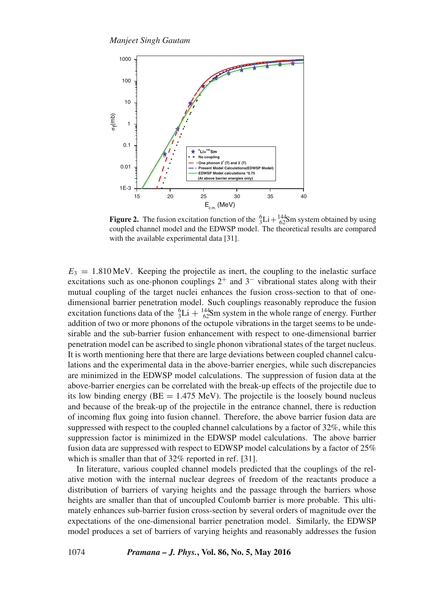

**Figure 2.** The fusion excitation function of the  ${}_{3}^{6}Li + {}_{62}^{144}Sm$  system obtained by using coupled channel model and the EDWSP model. The theoretical results are compared with the available experimental data [31].

 $E_3 = 1.810 \,\text{MeV}$ . Keeping the projectile as inert, the coupling to the inelastic surface excitations such as one-phonon couplings  $2^+$  and  $3^-$  vibrational states along with their mutual coupling of the target nuclei enhances the fusion cross-section to that of onedimensional barrier penetration model. Such couplings reasonably reproduce the fusion excitation functions data of the  ${}^{6}_{3}\text{Li} + {}^{144}_{62}\text{Sm}$  system in the whole range of energy. Further addition of two or more phonons of the octupole vibrations in the target seems to be undesirable and the sub-barrier fusion enhancement with respect to one-dimensional barrier penetration model can be ascribed to single phonon vibrational states of the target nucleus. It is worth mentioning here that there are large deviations between coupled channel calculations and the experimental data in the above-barrier energies, while such discrepancies are minimized in the EDWSP model calculations. The suppression of fusion data at the above-barrier energies can be correlated with the break-up effects of the projectile due to its low binding energy  $(BE = 1.475 \text{ MeV})$ . The projectile is the loosely bound nucleus and because of the break-up of the projectile in the entrance channel, there is reduction of incoming flux going into fusion channel. Therefore, the above barrier fusion data are suppressed with respect to the coupled channel calculations by a factor of 32%, while this suppression factor is minimized in the EDWSP model calculations. The above barrier fusion data are suppressed with respect to EDWSP model calculations by a factor of 25% which is smaller than that of 32% reported in ref. [31].

In literature, various coupled channel models predicted that the couplings of the relative motion with the internal nuclear degrees of freedom of the reactants produce a distribution of barriers of varying heights and the passage through the barriers whose heights are smaller than that of uncoupled Coulomb barrier is more probable. This ultimately enhances sub-barrier fusion cross-section by several orders of magnitude over the expectations of the one-dimensional barrier penetration model. Similarly, the EDWSP model produces a set of barriers of varying heights and reasonably addresses the fusion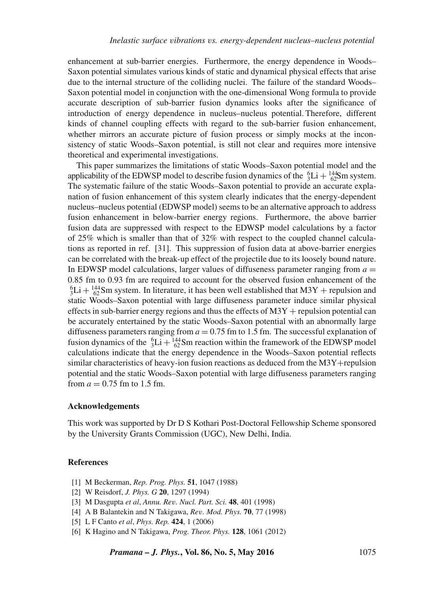enhancement at sub-barrier energies. Furthermore, the energy dependence in Woods– Saxon potential simulates various kinds of static and dynamical physical effects that arise due to the internal structure of the colliding nuclei. The failure of the standard Woods– Saxon potential model in conjunction with the one-dimensional Wong formula to provide accurate description of sub-barrier fusion dynamics looks after the significance of introduction of energy dependence in nucleus–nucleus potential. Therefore, different kinds of channel coupling effects with regard to the sub-barrier fusion enhancement, whether mirrors an accurate picture of fusion process or simply mocks at the inconsistency of static Woods–Saxon potential, is still not clear and requires more intensive theoretical and experimental investigations.

This paper summarizes the limitations of static Woods–Saxon potential model and the applicability of the EDWSP model to describe fusion dynamics of the  ${}^{6}_{3}\text{Li} + {}^{144}_{62}\text{Sm}$  system. The systematic failure of the static Woods–Saxon potential to provide an accurate explanation of fusion enhancement of this system clearly indicates that the energy-dependent nucleus–nucleus potential (EDWSP model) seems to be an alternative approach to address fusion enhancement in below-barrier energy regions. Furthermore, the above barrier fusion data are suppressed with respect to the EDWSP model calculations by a factor of 25% which is smaller than that of 32% with respect to the coupled channel calculations as reported in ref. [31]. This suppression of fusion data at above-barrier energies can be correlated with the break-up effect of the projectile due to its loosely bound nature. In EDWSP model calculations, larger values of diffuseness parameter ranging from  $a =$ 0.85 fm to 0.93 fm are required to account for the observed fusion enhancement of the  ${}^{6}_{3}\text{Li} + {}^{144}_{62}\text{Sm}$  system. In literature, it has been well established that M3Y + repulsion and static Woods–Saxon potential with large diffuseness parameter induce similar physical effects in sub-barrier energy regions and thus the effects of  $M3Y$  + repulsion potential can be accurately entertained by the static Woods–Saxon potential with an abnormally large diffuseness parameters ranging from  $a = 0.75$  fm to 1.5 fm. The successful explanation of fusion dynamics of the  ${}^{6}_{3}Li + {}^{144}_{62}Sm$  reaction within the framework of the EDWSP model calculations indicate that the energy dependence in the Woods–Saxon potential reflects similar characteristics of heavy-ion fusion reactions as deduced from the  $M3Y+repulsion$ potential and the static Woods–Saxon potential with large diffuseness parameters ranging from  $a = 0.75$  fm to 1.5 fm.

#### **Acknowledgements**

This work was supported by Dr D S Kothari Post-Doctoral Fellowship Scheme sponsored by the University Grants Commission (UGC), New Delhi, India.

### **References**

- [1] M Beckerman, *Rep. Prog. Phys.* **51**, 1047 (1988)
- [2] W Reisdorf, *J. Phys. G* **20**, 1297 (1994)
- [3] M Dasgupta *et al*, *Annu. Re*v*. Nucl. Part. Sci.* **48**, 401 (1998)
- [4] A B Balantekin and N Takigawa, *Re*v*. Mod. Phys.* **70**, 77 (1998)
- [5] L F Canto *et al*, *Phys. Rep.* **424**, 1 (2006)
- [6] K Hagino and N Takigawa, *Prog. Theor. Phys.* **128**, 1061 (2012)